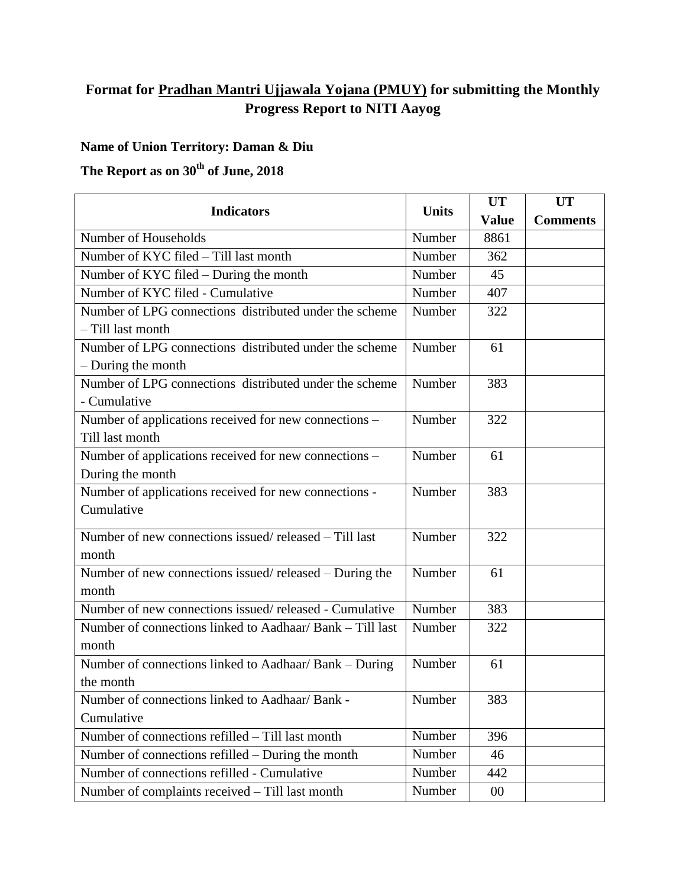## **Format for Pradhan Mantri Ujjawala Yojana (PMUY) for submitting the Monthly Progress Report to NITI Aayog**

## **Name of Union Territory: Daman & Diu**

## **The Report as on 30th of June, 2018**

| <b>Indicators</b>                                         | <b>Units</b> | <b>UT</b>    | <b>UT</b>       |
|-----------------------------------------------------------|--------------|--------------|-----------------|
|                                                           |              | <b>Value</b> | <b>Comments</b> |
| Number of Households                                      | Number       | 8861         |                 |
| Number of KYC filed - Till last month                     | Number       | 362          |                 |
| Number of KYC filed - During the month                    | Number       | 45           |                 |
| Number of KYC filed - Cumulative                          | Number       | 407          |                 |
| Number of LPG connections distributed under the scheme    | Number       | 322          |                 |
| - Till last month                                         |              |              |                 |
| Number of LPG connections distributed under the scheme    | Number       | 61           |                 |
| - During the month                                        |              |              |                 |
| Number of LPG connections distributed under the scheme    | Number       | 383          |                 |
| - Cumulative                                              |              |              |                 |
| Number of applications received for new connections -     | Number       | 322          |                 |
| Till last month                                           |              |              |                 |
| Number of applications received for new connections -     | Number       | 61           |                 |
| During the month                                          |              |              |                 |
| Number of applications received for new connections -     | Number       | 383          |                 |
| Cumulative                                                |              |              |                 |
| Number of new connections issued/released - Till last     | Number       | 322          |                 |
| month                                                     |              |              |                 |
| Number of new connections issued/released - During the    | Number       | 61           |                 |
| month                                                     |              |              |                 |
| Number of new connections issued/released - Cumulative    | Number       | 383          |                 |
| Number of connections linked to Aadhaar/ Bank - Till last | Number       | 322          |                 |
| month                                                     |              |              |                 |
| Number of connections linked to Aadhaar/ Bank - During    | Number       | 61           |                 |
| the month                                                 |              |              |                 |
| Number of connections linked to Aadhaar/ Bank -           | Number       | 383          |                 |
| Cumulative                                                |              |              |                 |
| Number of connections refilled – Till last month          | Number       | 396          |                 |
| Number of connections refilled – During the month         | Number       | 46           |                 |
| Number of connections refilled - Cumulative               | Number       | 442          |                 |
| Number of complaints received - Till last month           | Number       | $00\,$       |                 |